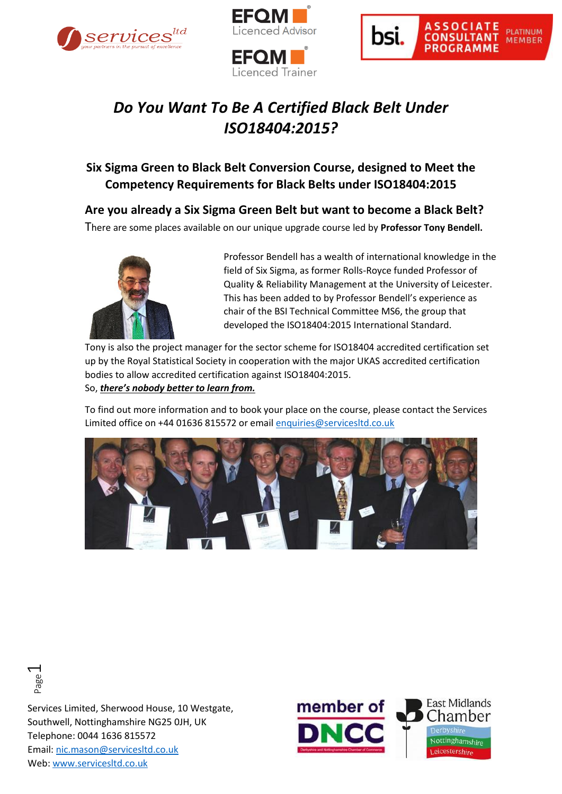





## *Do You Want To Be A Certified Black Belt Under ISO18404:2015?*

## **Six Sigma Green to Black Belt Conversion Course, designed to Meet the Competency Requirements for Black Belts under ISO18404:2015**

**Are you already a Six Sigma Green Belt but want to become a Black Belt?**

There are some places available on our unique upgrade course led by **Professor Tony Bendell.**



Professor Bendell has a wealth of international knowledge in the field of Six Sigma, as former Rolls-Royce funded Professor of Quality & Reliability Management at the University of Leicester. This has been added to by Professor Bendell's experience as chair of the BSI Technical Committee MS6, the group that developed the ISO18404:2015 International Standard.

Tony is also the project manager for the sector scheme for ISO18404 accredited certification set up by the Royal Statistical Society in cooperation with the major UKAS accredited certification bodies to allow accredited certification against ISO18404:2015. So, *there's nobody better to learn from.*

To find out more information and to book your place on the course, please contact the Services Limited office on +44 01636 815572 or email [enquiries@servicesltd.co.uk](mailto:enquiries@servicesltd.co.uk)





Services Limited, Sherwood House, 10 Westgate, Southwell, Nottinghamshire NG25 0JH, UK Telephone: 0044 1636 815572 Email: [nic.mason@servicesltd.co.uk](mailto:nic.mason@servicesltd.co.uk) web:<br>Consider Consider<br>Southwell, Nottinghamshire<br>Telephone: 0044 1636 81557<br>Email: <u>nic.mason@servicesltd</u><br>Web: <u>www.servicesltd.co.uk</u>

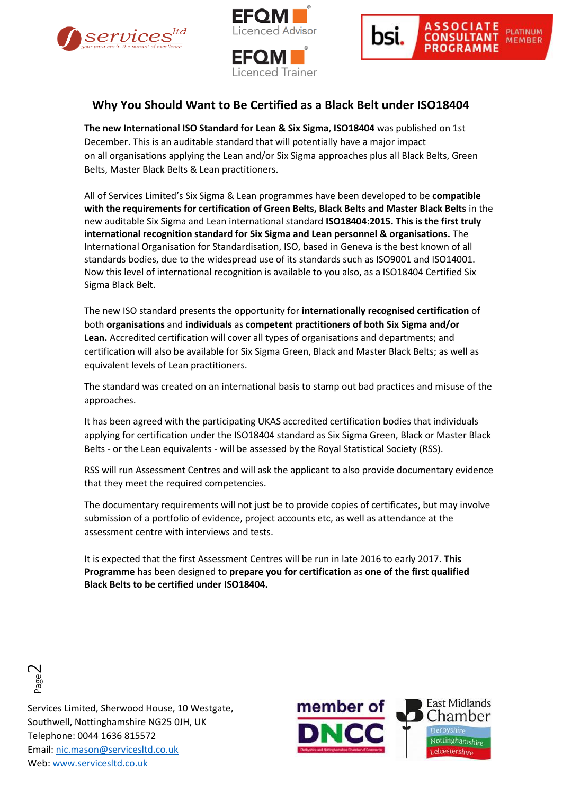





## **Why You Should Want to Be Certified as a Black Belt under ISO18404**

**The new International ISO Standard for Lean & Six Sigma**, **ISO18404** was published on 1st December. This is an auditable standard that will potentially have a major impact on all organisations applying the Lean and/or Six Sigma approaches plus all Black Belts, Green Belts, Master Black Belts & Lean practitioners.

All of Services Limited's Six Sigma & Lean programmes have been developed to be **compatible with the requirements for certification of Green Belts, Black Belts and Master Black Belts** in the new auditable Six Sigma and Lean international standard **ISO18404:2015. This is the first truly international recognition standard for Six Sigma and Lean personnel & organisations.** The International Organisation for Standardisation, ISO, based in Geneva is the best known of all standards bodies, due to the widespread use of its standards such as ISO9001 and ISO14001. Now this level of international recognition is available to you also, as a ISO18404 Certified Six Sigma Black Belt.

The new ISO standard presents the opportunity for **internationally recognised certification** of both **organisations** and **individuals** as **competent practitioners of both Six Sigma and/or Lean.** Accredited certification will cover all types of organisations and departments; and certification will also be available for Six Sigma Green, Black and Master Black Belts; as well as equivalent levels of Lean practitioners.

The standard was created on an international basis to stamp out bad practices and misuse of the approaches.

It has been agreed with the participating UKAS accredited certification bodies that individuals applying for certification under the ISO18404 standard as Six Sigma Green, Black or Master Black Belts - or the Lean equivalents - will be assessed by the Royal Statistical Society (RSS).

RSS will run Assessment Centres and will ask the applicant to also provide documentary evidence that they meet the required competencies.

The documentary requirements will not just be to provide copies of certificates, but may involve submission of a portfolio of evidence, project accounts etc, as well as attendance at the assessment centre with interviews and tests.

It is expected that the first Assessment Centres will be run in late 2016 to early 2017. **This Programme** has been designed to **prepare you for certification** as **one of the first qualified Black Belts to be certified under ISO18404.**



Services Limited, Sherwood House, 10 Westgate, Southwell, Nottinghamshire NG25 0JH, UK Telephone: 0044 1636 815572 Email: [nic.mason@servicesltd.co.uk](mailto:nic.mason@servicesltd.co.uk) Web: www.servicesltd.co.uk